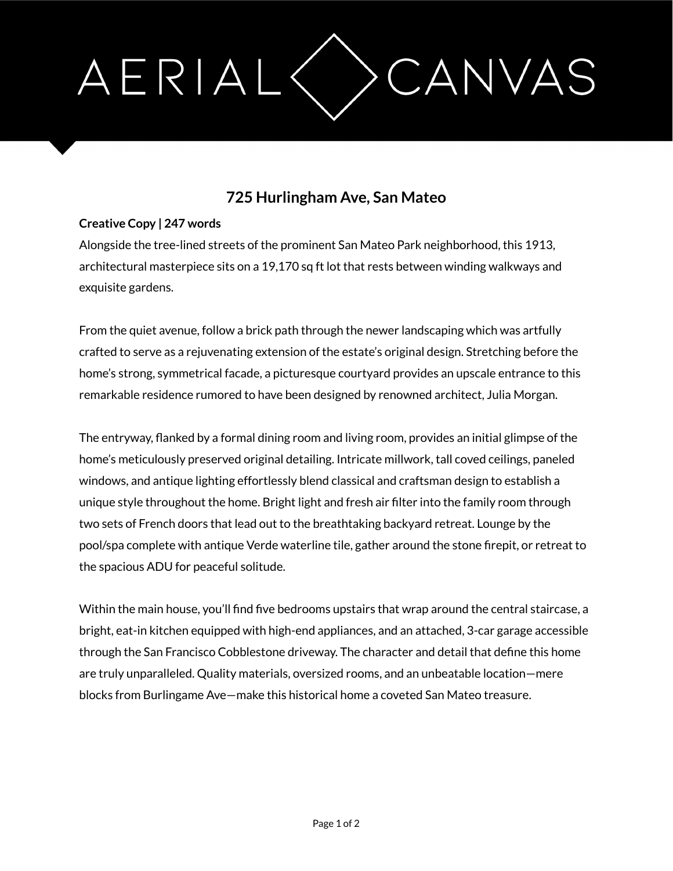## AERIAL CANVAS

## **725 Hurlingham Ave, San Mateo**

## **Creative Copy | 247 words**

Alongside the tree-lined streets of the prominent San Mateo Park neighborhood, this 1913, architectural masterpiece sits on a 19,170 sq ft lot that rests between winding walkways and exquisite gardens.

From the quiet avenue, follow a brick path through the newer landscaping which was artfully crafted to serve as a rejuvenating extension of the estate's original design. Stretching before the home's strong, symmetrical facade, a picturesque courtyard provides an upscale entrance to this remarkable residence rumored to have been designed by renowned architect, Julia Morgan.

The entryway, flanked by a formal dining room and living room, provides an initial glimpse of the home's meticulously preserved original detailing. Intricate millwork, tall coved ceilings, paneled windows, and antique lighting effortlessly blend classical and craftsman design to establish a unique style throughout the home. Bright light and fresh air filter into the family room through two sets of French doors that lead out to the breathtaking backyard retreat. Lounge by the pool/spa complete with antique Verde waterline tile, gather around the stone firepit, or retreat to the spacious ADU for peaceful solitude.

Within the main house, you'll find five bedrooms upstairs that wrap around the central staircase, a bright, eat-in kitchen equipped with high-end appliances, and an attached, 3-car garage accessible through the San Francisco Cobblestone driveway. The character and detail that define this home are truly unparalleled. Quality materials, oversized rooms, and an unbeatable location—mere blocks from Burlingame Ave—make this historical home a coveted San Mateo treasure.